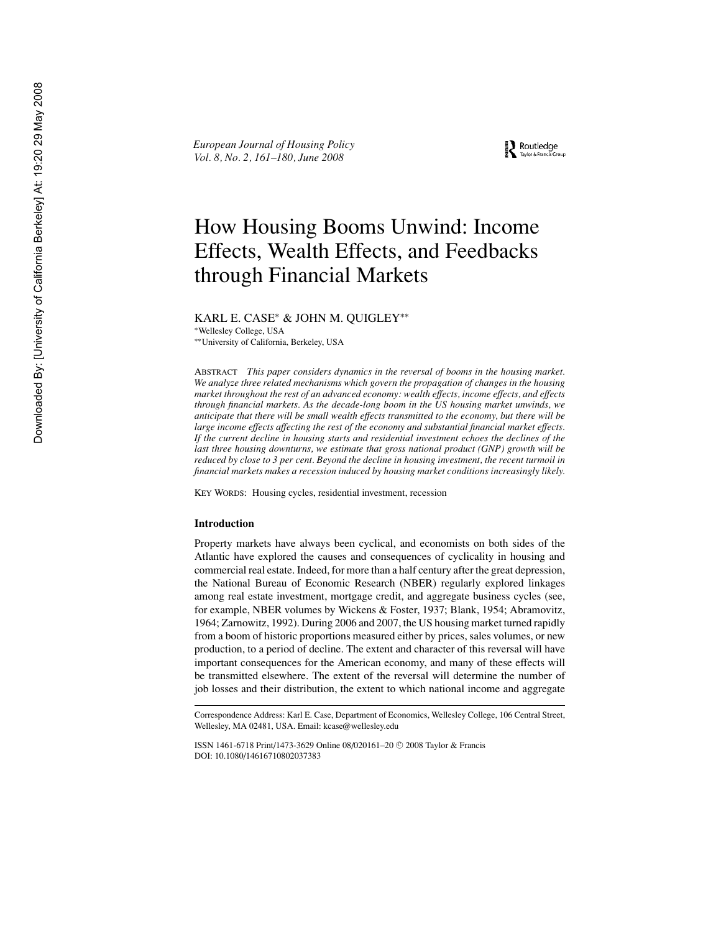*European Journal of Housing Policy Vol. 8, No. 2, 161–180, June 2008*

Routledge

# How Housing Booms Unwind: Income Effects, Wealth Effects, and Feedbacks through Financial Markets

KARL E. CASE<sup>∗</sup> & JOHN M. QUIGLEY∗∗

∗Wellesley College, USA

∗∗University of California, Berkeley, USA

ABSTRACT *This paper considers dynamics in the reversal of booms in the housing market. We analyze three related mechanisms which govern the propagation of changes in the housing market throughout the rest of an advanced economy: wealth effects, income effects, and effects through financial markets. As the decade-long boom in the US housing market unwinds, we anticipate that there will be small wealth effects transmitted to the economy, but there will be large income effects affecting the rest of the economy and substantial financial market effects. If the current decline in housing starts and residential investment echoes the declines of the last three housing downturns, we estimate that gross national product (GNP) growth will be reduced by close to 3 per cent. Beyond the decline in housing investment, the recent turmoil in financial markets makes a recession induced by housing market conditions increasingly likely.*

KEY WORDS: Housing cycles, residential investment, recession

#### **Introduction**

Property markets have always been cyclical, and economists on both sides of the Atlantic have explored the causes and consequences of cyclicality in housing and commercial real estate. Indeed, for more than a half century after the great depression, the National Bureau of Economic Research (NBER) regularly explored linkages among real estate investment, mortgage credit, and aggregate business cycles (see, for example, NBER volumes by Wickens & Foster, 1937; Blank, 1954; Abramovitz, 1964; Zarnowitz, 1992). During 2006 and 2007, the US housing market turned rapidly from a boom of historic proportions measured either by prices, sales volumes, or new production, to a period of decline. The extent and character of this reversal will have important consequences for the American economy, and many of these effects will be transmitted elsewhere. The extent of the reversal will determine the number of job losses and their distribution, the extent to which national income and aggregate

Correspondence Address: Karl E. Case, Department of Economics, Wellesley College, 106 Central Street, Wellesley, MA 02481, USA. Email: kcase@wellesley.edu

ISSN 1461-6718 Print/1473-3629 Online 08/020161–20 © 2008 Taylor & Francis DOI: 10.1080/14616710802037383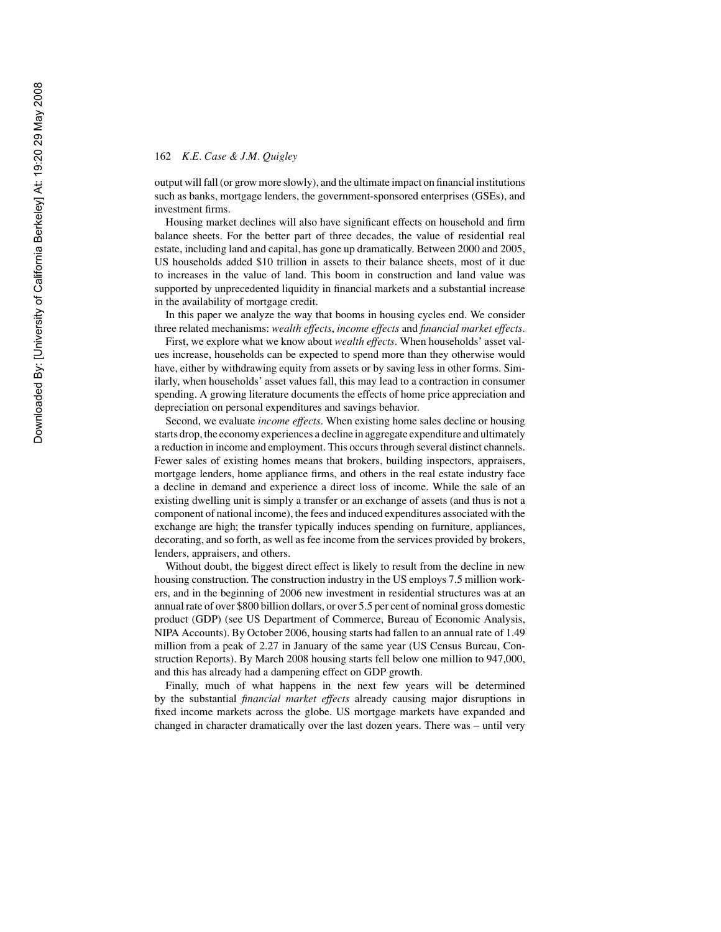output will fall (or grow more slowly), and the ultimate impact on financial institutions such as banks, mortgage lenders, the government-sponsored enterprises (GSEs), and investment firms.

Housing market declines will also have significant effects on household and firm balance sheets. For the better part of three decades, the value of residential real estate, including land and capital, has gone up dramatically. Between 2000 and 2005, US households added \$10 trillion in assets to their balance sheets, most of it due to increases in the value of land. This boom in construction and land value was supported by unprecedented liquidity in financial markets and a substantial increase in the availability of mortgage credit.

In this paper we analyze the way that booms in housing cycles end. We consider three related mechanisms: *wealth effects*, *income effects* and *financial market effects.*

First, we explore what we know about *wealth effects*. When households' asset values increase, households can be expected to spend more than they otherwise would have, either by withdrawing equity from assets or by saving less in other forms. Similarly, when households' asset values fall, this may lead to a contraction in consumer spending. A growing literature documents the effects of home price appreciation and depreciation on personal expenditures and savings behavior.

Second, we evaluate *income effects*. When existing home sales decline or housing starts drop, the economy experiences a decline in aggregate expenditure and ultimately a reduction in income and employment. This occurs through several distinct channels. Fewer sales of existing homes means that brokers, building inspectors, appraisers, mortgage lenders, home appliance firms, and others in the real estate industry face a decline in demand and experience a direct loss of income. While the sale of an existing dwelling unit is simply a transfer or an exchange of assets (and thus is not a component of national income), the fees and induced expenditures associated with the exchange are high; the transfer typically induces spending on furniture, appliances, decorating, and so forth, as well as fee income from the services provided by brokers, lenders, appraisers, and others.

Without doubt, the biggest direct effect is likely to result from the decline in new housing construction. The construction industry in the US employs 7.5 million workers, and in the beginning of 2006 new investment in residential structures was at an annual rate of over \$800 billion dollars, or over 5.5 per cent of nominal gross domestic product (GDP) (see US Department of Commerce, Bureau of Economic Analysis, NIPA Accounts). By October 2006, housing starts had fallen to an annual rate of 1.49 million from a peak of 2.27 in January of the same year (US Census Bureau, Construction Reports). By March 2008 housing starts fell below one million to 947,000, and this has already had a dampening effect on GDP growth.

Finally, much of what happens in the next few years will be determined by the substantial *financial market effects* already causing major disruptions in fixed income markets across the globe. US mortgage markets have expanded and changed in character dramatically over the last dozen years. There was – until very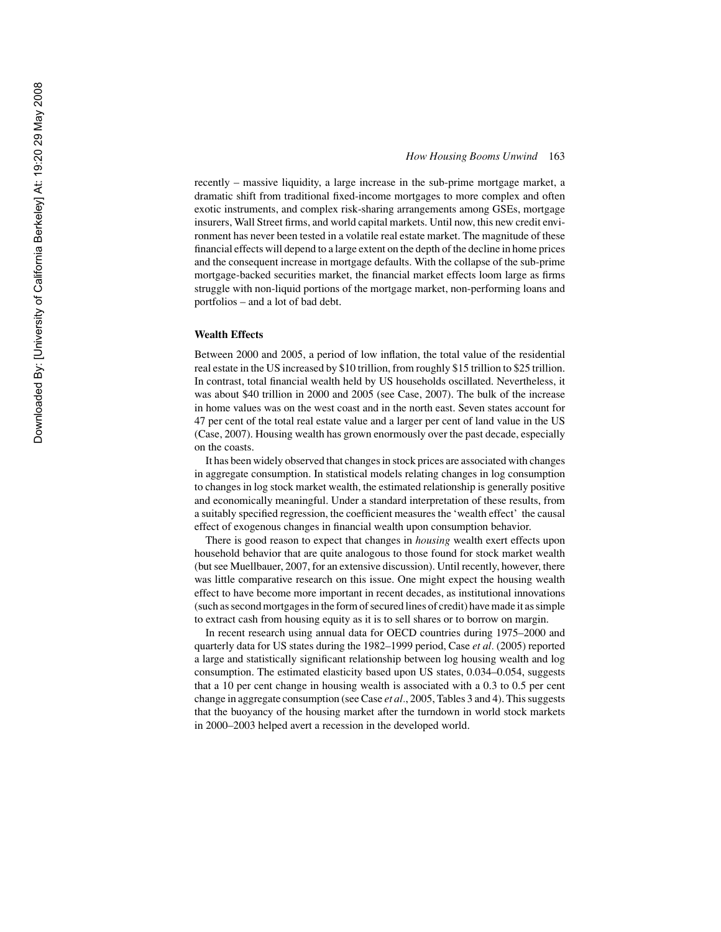recently – massive liquidity, a large increase in the sub-prime mortgage market, a dramatic shift from traditional fixed-income mortgages to more complex and often exotic instruments, and complex risk-sharing arrangements among GSEs, mortgage insurers, Wall Street firms, and world capital markets. Until now, this new credit environment has never been tested in a volatile real estate market. The magnitude of these financial effects will depend to a large extent on the depth of the decline in home prices and the consequent increase in mortgage defaults. With the collapse of the sub-prime mortgage-backed securities market, the financial market effects loom large as firms struggle with non-liquid portions of the mortgage market, non-performing loans and portfolios – and a lot of bad debt.

#### **Wealth Effects**

Between 2000 and 2005, a period of low inflation, the total value of the residential real estate in the US increased by \$10 trillion, from roughly \$15 trillion to \$25 trillion. In contrast, total financial wealth held by US households oscillated. Nevertheless, it was about \$40 trillion in 2000 and 2005 (see Case, 2007). The bulk of the increase in home values was on the west coast and in the north east. Seven states account for 47 per cent of the total real estate value and a larger per cent of land value in the US (Case, 2007). Housing wealth has grown enormously over the past decade, especially on the coasts.

It has been widely observed that changes in stock prices are associated with changes in aggregate consumption. In statistical models relating changes in log consumption to changes in log stock market wealth, the estimated relationship is generally positive and economically meaningful. Under a standard interpretation of these results, from a suitably specified regression, the coefficient measures the 'wealth effect' the causal effect of exogenous changes in financial wealth upon consumption behavior.

There is good reason to expect that changes in *housing* wealth exert effects upon household behavior that are quite analogous to those found for stock market wealth (but see Muellbauer, 2007, for an extensive discussion). Until recently, however, there was little comparative research on this issue. One might expect the housing wealth effect to have become more important in recent decades, as institutional innovations (such as second mortgages in the form of secured lines of credit) have made it as simple to extract cash from housing equity as it is to sell shares or to borrow on margin.

In recent research using annual data for OECD countries during 1975–2000 and quarterly data for US states during the 1982–1999 period, Case *et al.* (2005) reported a large and statistically significant relationship between log housing wealth and log consumption. The estimated elasticity based upon US states, 0.034–0.054, suggests that a 10 per cent change in housing wealth is associated with a 0.3 to 0.5 per cent change in aggregate consumption (see Case *et al.*, 2005, Tables 3 and 4). This suggests that the buoyancy of the housing market after the turndown in world stock markets in 2000–2003 helped avert a recession in the developed world.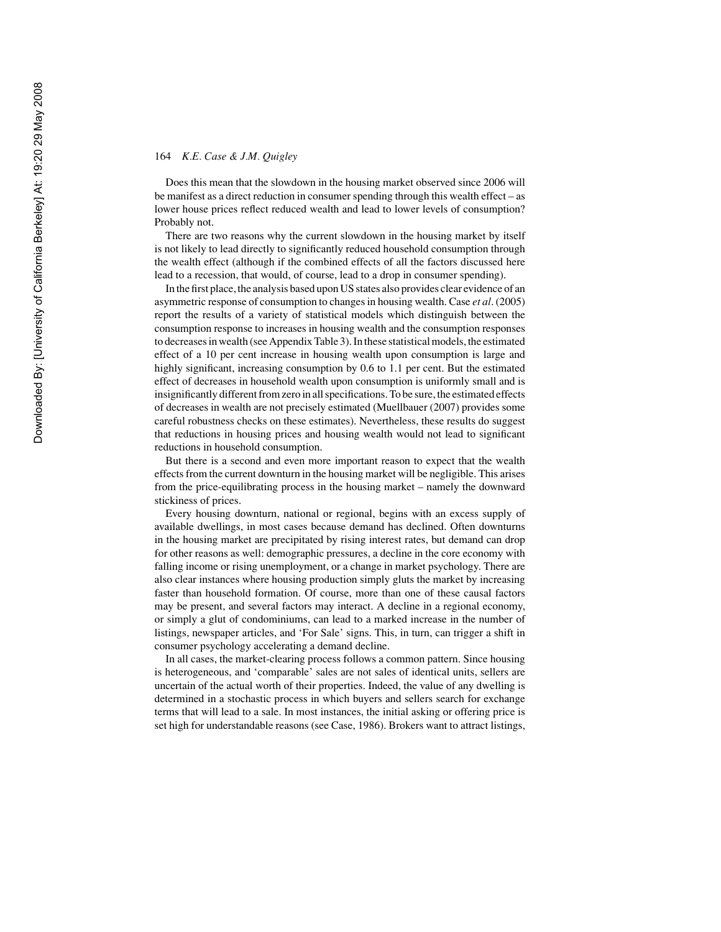Does this mean that the slowdown in the housing market observed since 2006 will be manifest as a direct reduction in consumer spending through this wealth effect – as lower house prices reflect reduced wealth and lead to lower levels of consumption? Probably not.

There are two reasons why the current slowdown in the housing market by itself is not likely to lead directly to significantly reduced household consumption through the wealth effect (although if the combined effects of all the factors discussed here lead to a recession, that would, of course, lead to a drop in consumer spending).

In the first place, the analysis based upon US states also provides clear evidence of an asymmetric response of consumption to changes in housing wealth. Case *et al*. (2005) report the results of a variety of statistical models which distinguish between the consumption response to increases in housing wealth and the consumption responses to decreases in wealth (see Appendix Table 3). In these statistical models, the estimated effect of a 10 per cent increase in housing wealth upon consumption is large and highly significant, increasing consumption by 0.6 to 1.1 per cent. But the estimated effect of decreases in household wealth upon consumption is uniformly small and is insignificantly different from zero in all specifications. To be sure, the estimated effects of decreases in wealth are not precisely estimated (Muellbauer (2007) provides some careful robustness checks on these estimates). Nevertheless, these results do suggest that reductions in housing prices and housing wealth would not lead to significant reductions in household consumption.

But there is a second and even more important reason to expect that the wealth effects from the current downturn in the housing market will be negligible. This arises from the price-equilibrating process in the housing market – namely the downward stickiness of prices.

Every housing downturn, national or regional, begins with an excess supply of available dwellings, in most cases because demand has declined. Often downturns in the housing market are precipitated by rising interest rates, but demand can drop for other reasons as well: demographic pressures, a decline in the core economy with falling income or rising unemployment, or a change in market psychology. There are also clear instances where housing production simply gluts the market by increasing faster than household formation. Of course, more than one of these causal factors may be present, and several factors may interact. A decline in a regional economy, or simply a glut of condominiums, can lead to a marked increase in the number of listings, newspaper articles, and 'For Sale' signs. This, in turn, can trigger a shift in consumer psychology accelerating a demand decline.

In all cases, the market-clearing process follows a common pattern. Since housing is heterogeneous, and 'comparable' sales are not sales of identical units, sellers are uncertain of the actual worth of their properties. Indeed, the value of any dwelling is determined in a stochastic process in which buyers and sellers search for exchange terms that will lead to a sale. In most instances, the initial asking or offering price is set high for understandable reasons (see Case, 1986). Brokers want to attract listings,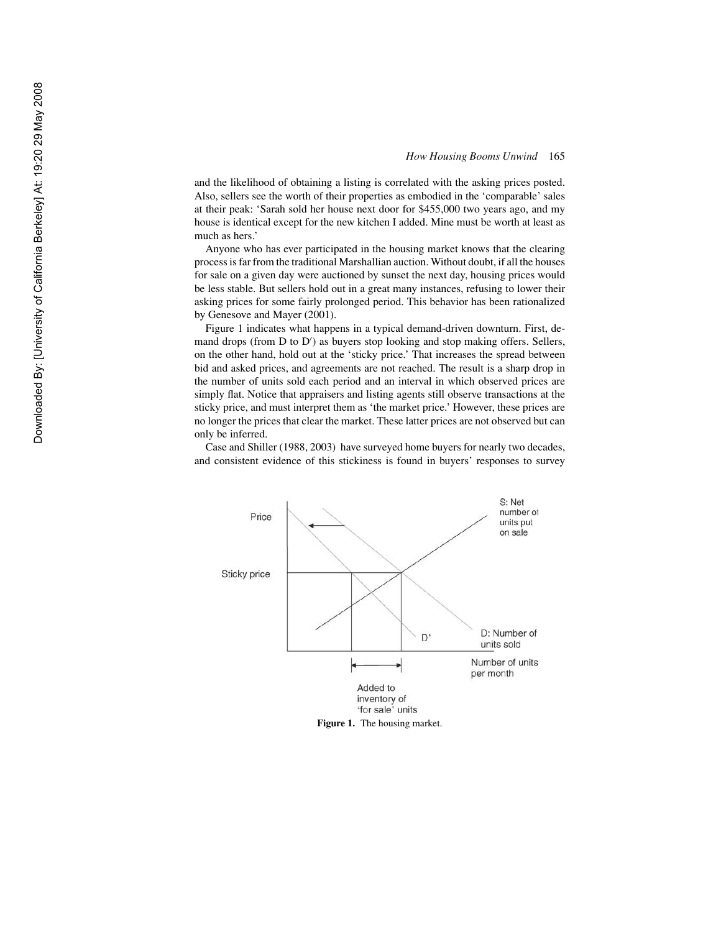and the likelihood of obtaining a listing is correlated with the asking prices posted. Also, sellers see the worth of their properties as embodied in the 'comparable' sales at their peak: 'Sarah sold her house next door for \$455,000 two years ago, and my house is identical except for the new kitchen I added. Mine must be worth at least as much as hers.'

Anyone who has ever participated in the housing market knows that the clearing process is far from the traditional Marshallian auction. Without doubt, if all the houses for sale on a given day were auctioned by sunset the next day, housing prices would be less stable. But sellers hold out in a great many instances, refusing to lower their asking prices for some fairly prolonged period. This behavior has been rationalized by Genesove and Mayer (2001).

Figure 1 indicates what happens in a typical demand-driven downturn. First, demand drops (from D to D ) as buyers stop looking and stop making offers. Sellers, on the other hand, hold out at the 'sticky price.' That increases the spread between bid and asked prices, and agreements are not reached. The result is a sharp drop in the number of units sold each period and an interval in which observed prices are simply flat. Notice that appraisers and listing agents still observe transactions at the sticky price, and must interpret them as 'the market price.' However, these prices are no longer the prices that clear the market. These latter prices are not observed but can only be inferred.

Case and Shiller (1988, 2003) have surveyed home buyers for nearly two decades, and consistent evidence of this stickiness is found in buyers' responses to survey

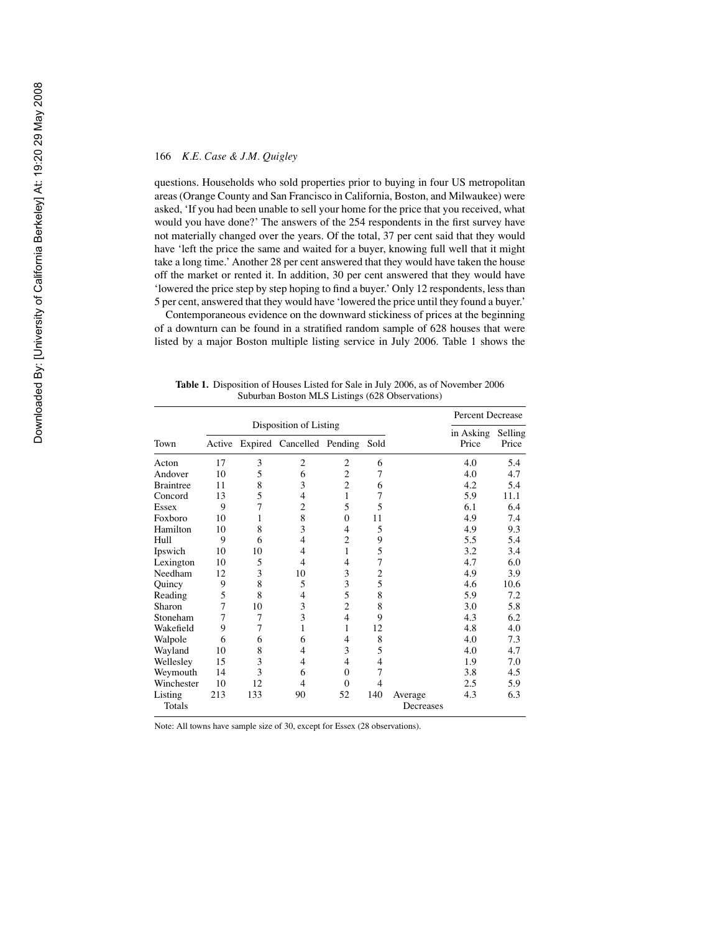questions. Households who sold properties prior to buying in four US metropolitan areas (Orange County and San Francisco in California, Boston, and Milwaukee) were asked, 'If you had been unable to sell your home for the price that you received, what would you have done?' The answers of the 254 respondents in the first survey have not materially changed over the years. Of the total, 37 per cent said that they would have 'left the price the same and waited for a buyer, knowing full well that it might take a long time.' Another 28 per cent answered that they would have taken the house off the market or rented it. In addition, 30 per cent answered that they would have 'lowered the price step by step hoping to find a buyer.' Only 12 respondents, less than 5 per cent, answered that they would have 'lowered the price until they found a buyer.'

Contemporaneous evidence on the downward stickiness of prices at the beginning of a downturn can be found in a stratified random sample of 628 houses that were listed by a major Boston multiple listing service in July 2006. Table 1 shows the

|            |     |     |                                       |                |     |           | Percent Decrease  |       |
|------------|-----|-----|---------------------------------------|----------------|-----|-----------|-------------------|-------|
|            |     |     | Disposition of Listing                |                |     |           | in Asking Selling |       |
| Town       |     |     | Active Expired Cancelled Pending Sold |                |     |           | Price             | Price |
| Acton      | 17  | 3   | 2                                     | 2              | 6   |           | 4.0               | 5.4   |
| Andover    | 10  | 5   | 6                                     | $\overline{c}$ | 7   |           | 4.0               | 4.7   |
| Braintree  | 11  | 8   | 3                                     | $\overline{c}$ | 6   |           | 4.2               | 5.4   |
| Concord    | 13  | 5   | 4                                     | 1              | 7   |           | 5.9               | 11.1  |
| Essex      | 9   | 7   | $\overline{2}$                        | 5              | 5   |           | 6.1               | 6.4   |
| Foxboro    | 10  | 1   | 8                                     | $\overline{0}$ | 11  |           | 4.9               | 7.4   |
| Hamilton   | 10  | 8   | 3                                     | 4              | 5   |           | 4.9               | 9.3   |
| Hull       | 9   | 6   | 4                                     | 2              | 9   |           | 5.5               | 5.4   |
| Ipswich    | 10  | 10  | 4                                     | 1              | 5   |           | 3.2               | 3.4   |
| Lexington  | 10  | 5   | 4                                     | 4              | 7   |           | 4.7               | 6.0   |
| Needham    | 12  | 3   | 10                                    | 3              | 2   |           | 4.9               | 3.9   |
| Quincy     | 9   | 8   | 5                                     | 3              | 5   |           | 4.6               | 10.6  |
| Reading    | 5   | 8   | 4                                     | 5              | 8   |           | 5.9               | 7.2   |
| Sharon     | 7   | 10  | 3                                     | $\overline{c}$ | 8   |           | 3.0               | 5.8   |
| Stoneham   | 7   | 7   | 3                                     | $\overline{4}$ | 9   |           | 4.3               | 6.2   |
| Wakefield  | 9   | 7   | $\mathbf{1}$                          | 1              | 12  |           | 4.8               | 4.0   |
| Walpole    | 6   | 6   | 6                                     | 4              | 8   |           | 4.0               | 7.3   |
| Wayland    | 10  | 8   | 4                                     | 3              | 5   |           | 4.0               | 4.7   |
| Wellesley  | 15  | 3   | 4                                     | 4              | 4   |           | 1.9               | 7.0   |
| Weymouth   | 14  | 3   | 6                                     | $\theta$       | 7   |           | 3.8               | 4.5   |
| Winchester | 10  | 12  | 4                                     | $\theta$       | 4   |           | 2.5               | 5.9   |
| Listing    | 213 | 133 | 90                                    | 52             | 140 | Average   | 4.3               | 6.3   |
| Totals     |     |     |                                       |                |     | Decreases |                   |       |

**Table 1.** Disposition of Houses Listed for Sale in July 2006, as of November 2006 Suburban Boston MLS Listings (628 Observations)

Note: All towns have sample size of 30, except for Essex (28 observations).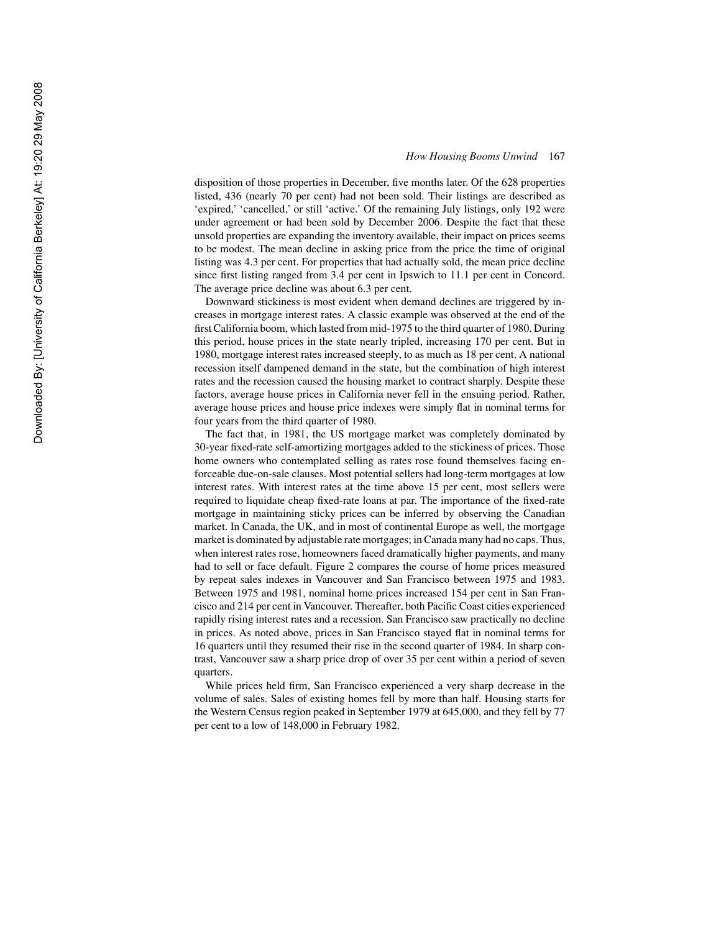disposition of those properties in December, five months later. Of the 628 properties listed, 436 (nearly 70 per cent) had not been sold. Their listings are described as 'expired,' 'cancelled,' or still 'active.' Of the remaining July listings, only 192 were under agreement or had been sold by December 2006. Despite the fact that these unsold properties are expanding the inventory available, their impact on prices seems to be modest. The mean decline in asking price from the price the time of original listing was 4.3 per cent. For properties that had actually sold, the mean price decline since first listing ranged from 3.4 per cent in Ipswich to 11.1 per cent in Concord. The average price decline was about 6.3 per cent.

Downward stickiness is most evident when demand declines are triggered by increases in mortgage interest rates. A classic example was observed at the end of the first California boom, which lasted from mid-1975 to the third quarter of 1980. During this period, house prices in the state nearly tripled, increasing 170 per cent. But in 1980, mortgage interest rates increased steeply, to as much as 18 per cent. A national recession itself dampened demand in the state, but the combination of high interest rates and the recession caused the housing market to contract sharply. Despite these factors, average house prices in California never fell in the ensuing period. Rather, average house prices and house price indexes were simply flat in nominal terms for four years from the third quarter of 1980.

The fact that, in 1981, the US mortgage market was completely dominated by 30-year fixed-rate self-amortizing mortgages added to the stickiness of prices. Those home owners who contemplated selling as rates rose found themselves facing enforceable due-on-sale clauses. Most potential sellers had long-term mortgages at low interest rates. With interest rates at the time above 15 per cent, most sellers were required to liquidate cheap fixed-rate loans at par. The importance of the fixed-rate mortgage in maintaining sticky prices can be inferred by observing the Canadian market. In Canada, the UK, and in most of continental Europe as well, the mortgage market is dominated by adjustable rate mortgages; in Canada many had no caps. Thus, when interest rates rose, homeowners faced dramatically higher payments, and many had to sell or face default. Figure 2 compares the course of home prices measured by repeat sales indexes in Vancouver and San Francisco between 1975 and 1983. Between 1975 and 1981, nominal home prices increased 154 per cent in San Francisco and 214 per cent in Vancouver. Thereafter, both Pacific Coast cities experienced rapidly rising interest rates and a recession. San Francisco saw practically no decline in prices. As noted above, prices in San Francisco stayed flat in nominal terms for 16 quarters until they resumed their rise in the second quarter of 1984. In sharp contrast, Vancouver saw a sharp price drop of over 35 per cent within a period of seven quarters.

While prices held firm, San Francisco experienced a very sharp decrease in the volume of sales. Sales of existing homes fell by more than half. Housing starts for the Western Census region peaked in September 1979 at 645,000, and they fell by 77 per cent to a low of 148,000 in February 1982.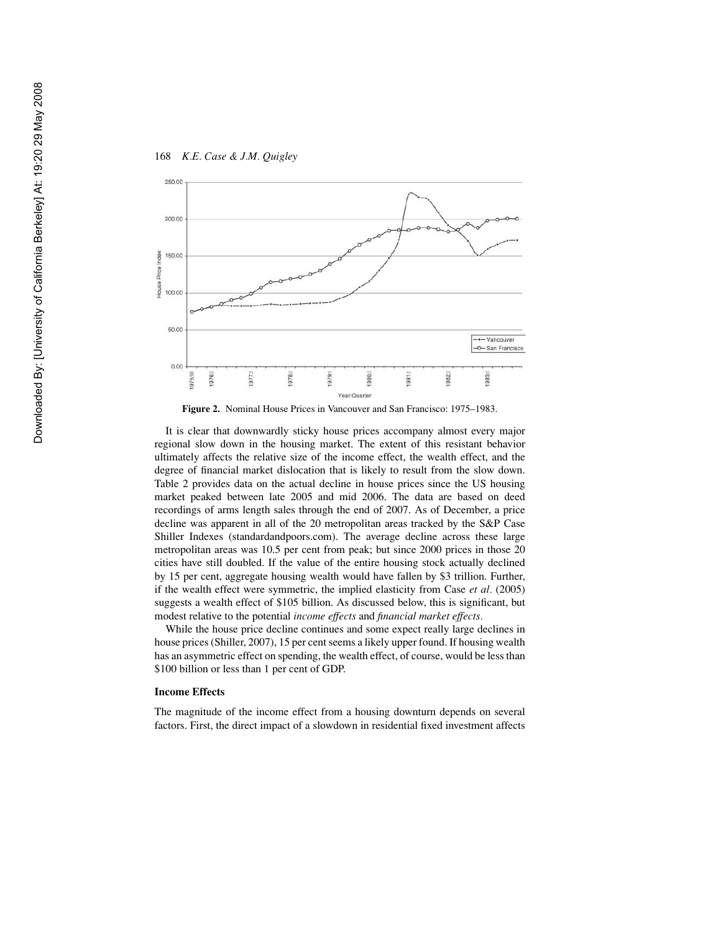



**Figure 2.** Nominal House Prices in Vancouver and San Francisco: 1975–1983.

It is clear that downwardly sticky house prices accompany almost every major regional slow down in the housing market. The extent of this resistant behavior ultimately affects the relative size of the income effect, the wealth effect, and the degree of financial market dislocation that is likely to result from the slow down. Table 2 provides data on the actual decline in house prices since the US housing market peaked between late 2005 and mid 2006. The data are based on deed recordings of arms length sales through the end of 2007. As of December, a price decline was apparent in all of the 20 metropolitan areas tracked by the S&P Case Shiller Indexes (standardandpoors.com). The average decline across these large metropolitan areas was 10.5 per cent from peak; but since 2000 prices in those 20 cities have still doubled. If the value of the entire housing stock actually declined by 15 per cent, aggregate housing wealth would have fallen by \$3 trillion. Further, if the wealth effect were symmetric, the implied elasticity from Case *et al.* (2005) suggests a wealth effect of \$105 billion. As discussed below, this is significant, but modest relative to the potential *income effects* and *financial market effects.*

While the house price decline continues and some expect really large declines in house prices (Shiller, 2007), 15 per cent seems a likely upper found. If housing wealth has an asymmetric effect on spending, the wealth effect, of course, would be less than \$100 billion or less than 1 per cent of GDP.

#### **Income Effects**

The magnitude of the income effect from a housing downturn depends on several factors. First, the direct impact of a slowdown in residential fixed investment affects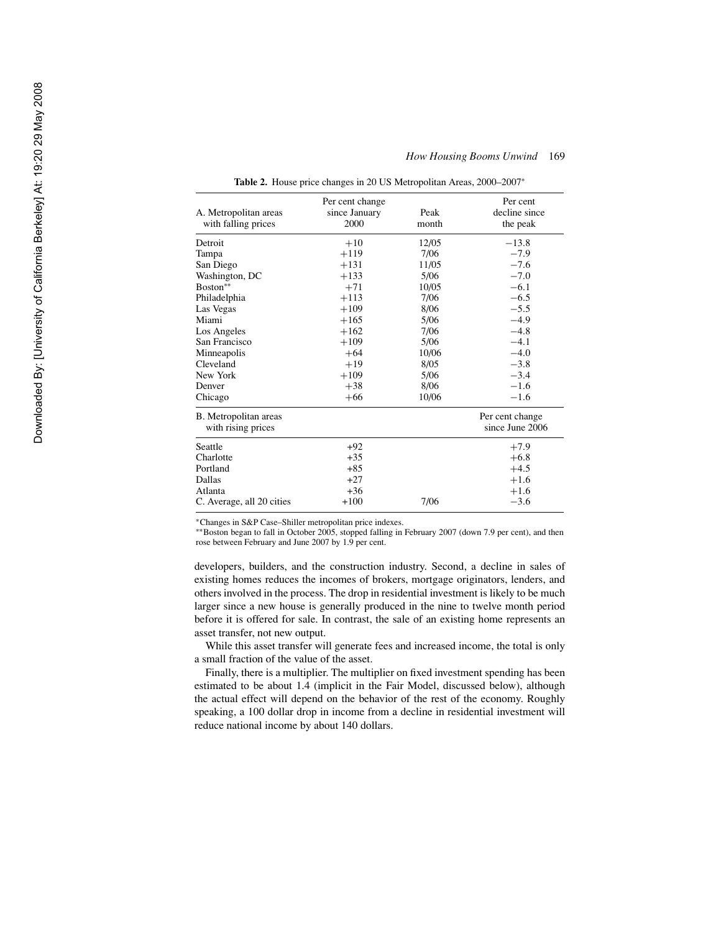| A. Metropolitan areas<br>with falling prices | Per cent change<br>since January<br>2000 | Peak<br>month | Per cent<br>decline since<br>the peak |
|----------------------------------------------|------------------------------------------|---------------|---------------------------------------|
| Detroit                                      | $+10$                                    | 12/05         | $-13.8$                               |
| Tampa                                        | $+119$                                   | 7/06          | $-7.9$                                |
| San Diego                                    | $+131$                                   | 11/05         | $-7.6$                                |
| Washington, DC                               | $+133$                                   | 5/06          | $-7.0$                                |
| Boston**                                     | $+71$                                    | 10/05         | $-6.1$                                |
| Philadelphia                                 | $+113$                                   | 7/06          | $-6.5$                                |
| Las Vegas                                    | $+109$                                   | 8/06          | $-5.5$                                |
| Miami                                        | $+165$                                   | 5/06          | $-4.9$                                |
| Los Angeles                                  | $+162$                                   | 7/06          | $-4.8$                                |
| San Francisco                                | $+109$                                   | 5/06          | $-4.1$                                |
| Minneapolis                                  | $+64$                                    | 10/06         | $-4.0$                                |
| Cleveland                                    | $+19$                                    | 8/05          | $-3.8$                                |
| New York                                     | $+109$                                   | 5/06          | $-3.4$                                |
| Denver                                       | $+38$                                    | 8/06          | $-1.6$                                |
| Chicago                                      | $+66$                                    | 10/06         | $-1.6$                                |
| B. Metropolitan areas<br>with rising prices  |                                          |               | Per cent change<br>since June 2006    |
| Seattle                                      | $+92$                                    |               | $+7.9$                                |
| Charlotte                                    | $+35$                                    |               | $+6.8$                                |
| Portland                                     | $+85$                                    |               | $+4.5$                                |
| Dallas                                       | $+27$                                    |               | $+1.6$                                |
| Atlanta                                      | $+36$                                    |               | $+1.6$                                |
| C. Average, all 20 cities                    | $+100$                                   | 7/06          | $-3.6$                                |

**Table 2.** House price changes in 20 US Metropolitan Areas, 2000–2007<sup>∗</sup>

∗Changes in S&P Case–Shiller metropolitan price indexes.

∗∗Boston began to fall in October 2005, stopped falling in February 2007 (down 7.9 per cent), and then rose between February and June 2007 by 1.9 per cent.

developers, builders, and the construction industry. Second, a decline in sales of existing homes reduces the incomes of brokers, mortgage originators, lenders, and others involved in the process. The drop in residential investment is likely to be much larger since a new house is generally produced in the nine to twelve month period before it is offered for sale. In contrast, the sale of an existing home represents an asset transfer, not new output.

While this asset transfer will generate fees and increased income, the total is only a small fraction of the value of the asset.

Finally, there is a multiplier. The multiplier on fixed investment spending has been estimated to be about 1.4 (implicit in the Fair Model, discussed below), although the actual effect will depend on the behavior of the rest of the economy. Roughly speaking, a 100 dollar drop in income from a decline in residential investment will reduce national income by about 140 dollars.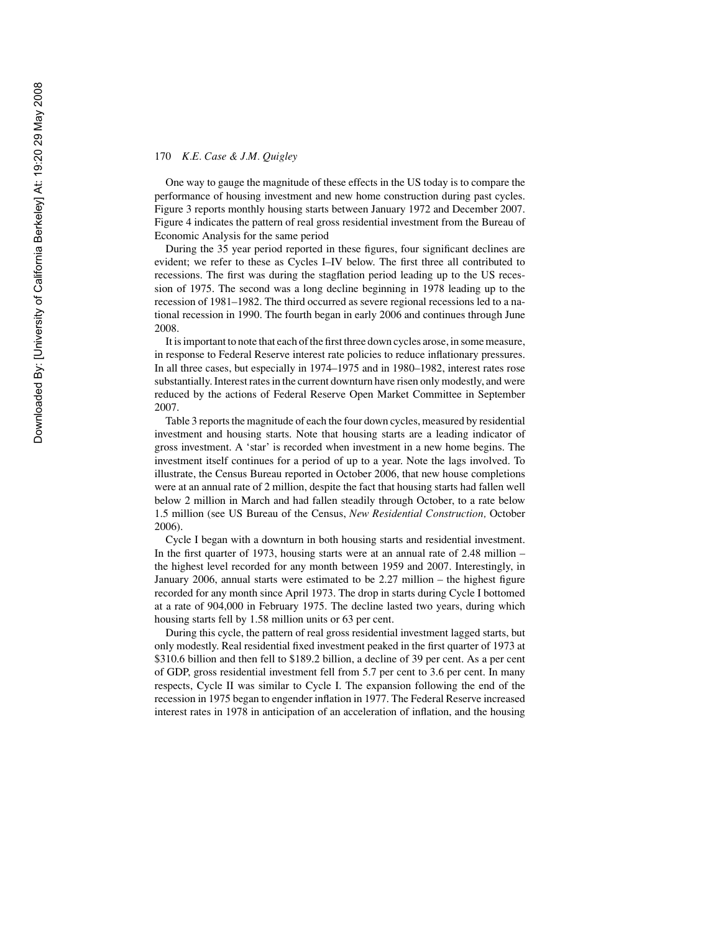One way to gauge the magnitude of these effects in the US today is to compare the performance of housing investment and new home construction during past cycles. Figure 3 reports monthly housing starts between January 1972 and December 2007. Figure 4 indicates the pattern of real gross residential investment from the Bureau of Economic Analysis for the same period

During the 35 year period reported in these figures, four significant declines are evident; we refer to these as Cycles I–IV below. The first three all contributed to recessions. The first was during the stagflation period leading up to the US recession of 1975. The second was a long decline beginning in 1978 leading up to the recession of 1981–1982. The third occurred as severe regional recessions led to a national recession in 1990. The fourth began in early 2006 and continues through June 2008.

It is important to note that each of the first three down cycles arose, in some measure, in response to Federal Reserve interest rate policies to reduce inflationary pressures. In all three cases, but especially in 1974–1975 and in 1980–1982, interest rates rose substantially. Interest rates in the current downturn have risen only modestly, and were reduced by the actions of Federal Reserve Open Market Committee in September 2007.

Table 3 reports the magnitude of each the four down cycles, measured by residential investment and housing starts. Note that housing starts are a leading indicator of gross investment. A 'star' is recorded when investment in a new home begins. The investment itself continues for a period of up to a year. Note the lags involved. To illustrate, the Census Bureau reported in October 2006, that new house completions were at an annual rate of 2 million, despite the fact that housing starts had fallen well below 2 million in March and had fallen steadily through October, to a rate below 1.5 million (see US Bureau of the Census, *New Residential Construction,* October 2006).

Cycle I began with a downturn in both housing starts and residential investment. In the first quarter of 1973, housing starts were at an annual rate of 2.48 million – the highest level recorded for any month between 1959 and 2007. Interestingly, in January 2006, annual starts were estimated to be 2.27 million – the highest figure recorded for any month since April 1973. The drop in starts during Cycle I bottomed at a rate of 904,000 in February 1975. The decline lasted two years, during which housing starts fell by 1.58 million units or 63 per cent.

During this cycle, the pattern of real gross residential investment lagged starts, but only modestly. Real residential fixed investment peaked in the first quarter of 1973 at \$310.6 billion and then fell to \$189.2 billion, a decline of 39 per cent. As a per cent of GDP, gross residential investment fell from 5.7 per cent to 3.6 per cent. In many respects, Cycle II was similar to Cycle I. The expansion following the end of the recession in 1975 began to engender inflation in 1977. The Federal Reserve increased interest rates in 1978 in anticipation of an acceleration of inflation, and the housing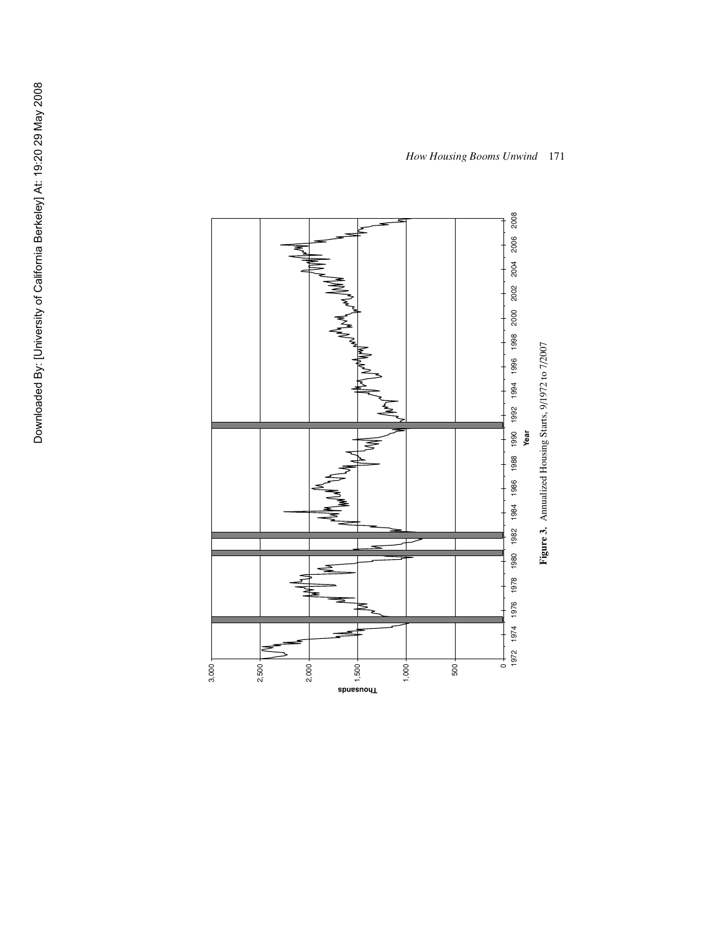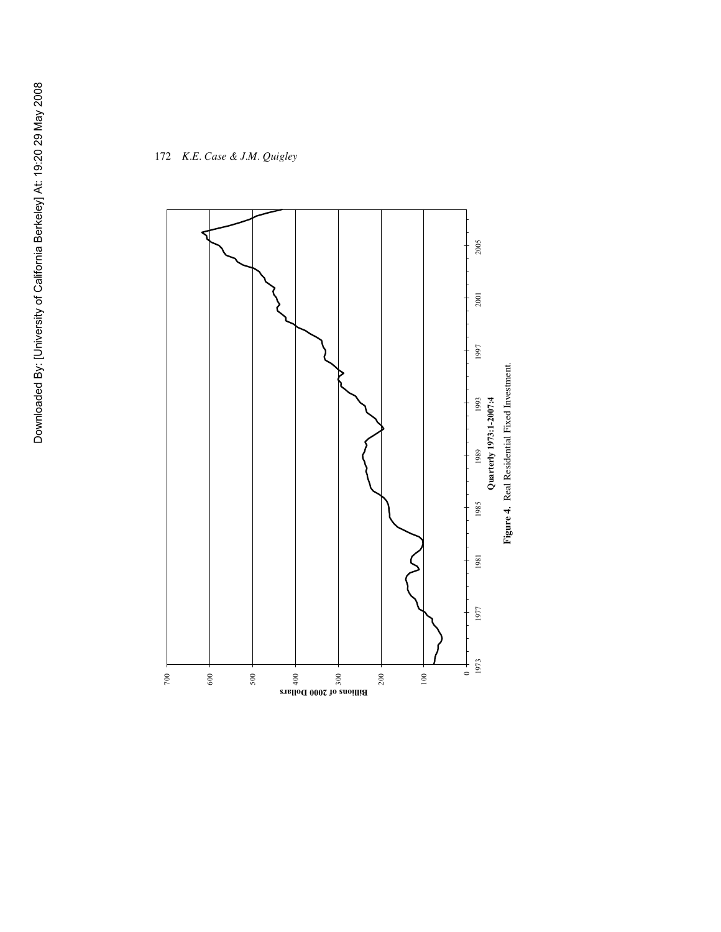

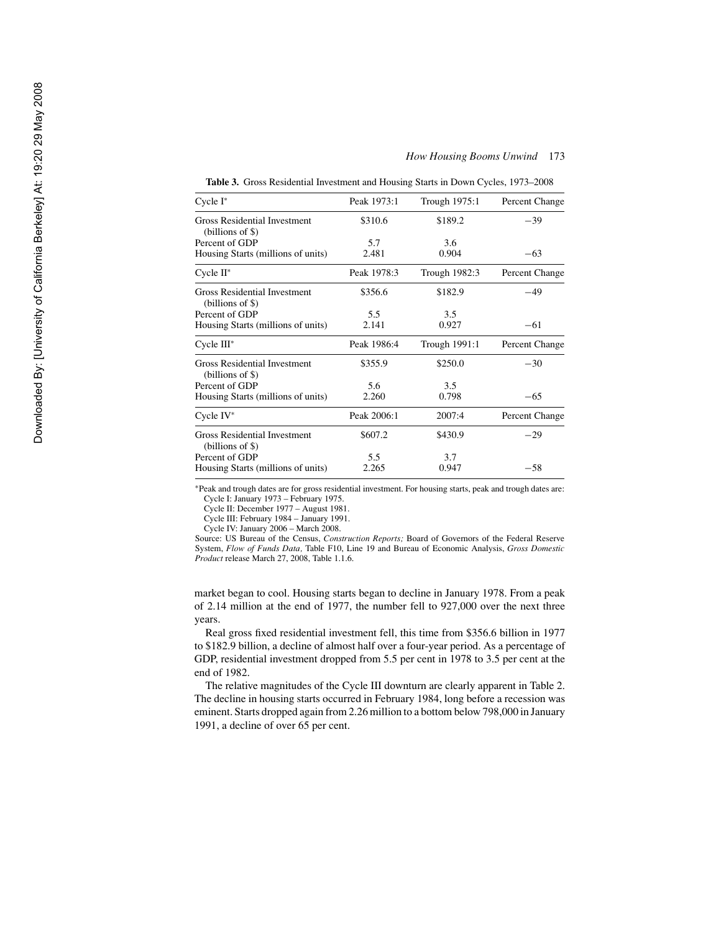| Cycle I*                                                  | Peak 1973:1 | Trough 1975:1 | Percent Change |
|-----------------------------------------------------------|-------------|---------------|----------------|
| Gross Residential Investment<br>$(billions of \$)$        | \$310.6     | \$189.2       | $-39$          |
| Percent of GDP                                            | 5.7         | 3.6           |                |
| Housing Starts (millions of units)                        | 2.481       | 0.904         | $-63$          |
| Cycle II*                                                 | Peak 1978:3 | Trough 1982:3 | Percent Change |
| <b>Gross Residential Investment</b><br>$(billions of \$)$ | \$356.6     | \$182.9       | $-49$          |
| Percent of GDP                                            | 5.5         | 3.5           |                |
| Housing Starts (millions of units)                        | 2.141       | 0.927         | $-61$          |
| Cycle III*                                                | Peak 1986:4 | Trough 1991:1 | Percent Change |
| Gross Residential Investment<br>$(billions of \$)$        | \$355.9     | \$250.0       | $-30$          |
| Percent of GDP                                            | 5.6         | 3.5           |                |
| Housing Starts (millions of units)                        | 2.260       | 0.798         | $-65$          |
| Cycle IV*                                                 | Peak 2006:1 | 2007:4        | Percent Change |
| Gross Residential Investment<br>$(billions of \$)$        | \$607.2     | \$430.9       | $-29$          |
| Percent of GDP                                            | 5.5         | 3.7           |                |
| Housing Starts (millions of units)                        | 2.265       | 0.947         | $-58$          |
|                                                           |             |               |                |

**Table 3.** Gross Residential Investment and Housing Starts in Down Cycles, 1973–2008

∗Peak and trough dates are for gross residential investment. For housing starts, peak and trough dates are: Cycle I: January 1973 – February 1975.

Cycle II: December 1977 – August 1981.

Cycle III: February 1984 – January 1991.

Cycle IV: January 2006 – March 2008.

Source: US Bureau of the Census, *Construction Reports;* Board of Governors of the Federal Reserve System, *Flow of Funds Data,* Table F10, Line 19 and Bureau of Economic Analysis, *Gross Domestic Product* release March 27, 2008, Table 1.1.6.

market began to cool. Housing starts began to decline in January 1978. From a peak of 2.14 million at the end of 1977, the number fell to 927,000 over the next three years.

Real gross fixed residential investment fell, this time from \$356.6 billion in 1977 to \$182.9 billion, a decline of almost half over a four-year period. As a percentage of GDP, residential investment dropped from 5.5 per cent in 1978 to 3.5 per cent at the end of 1982.

The relative magnitudes of the Cycle III downturn are clearly apparent in Table 2. The decline in housing starts occurred in February 1984, long before a recession was eminent. Starts dropped again from 2.26 million to a bottom below 798,000 in January 1991, a decline of over 65 per cent.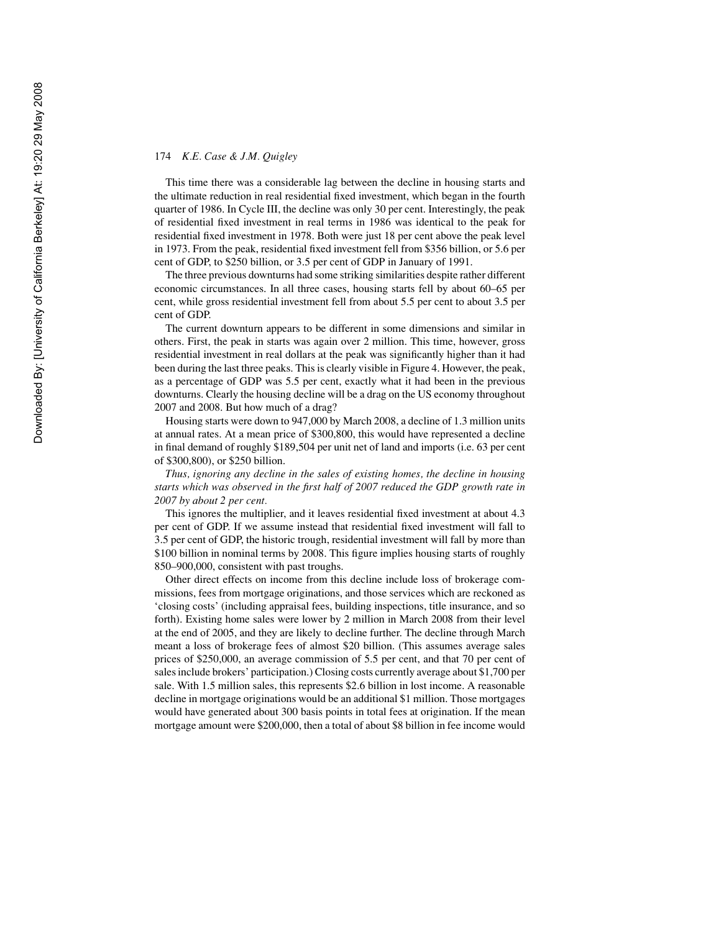This time there was a considerable lag between the decline in housing starts and the ultimate reduction in real residential fixed investment, which began in the fourth quarter of 1986. In Cycle III, the decline was only 30 per cent. Interestingly, the peak of residential fixed investment in real terms in 1986 was identical to the peak for residential fixed investment in 1978. Both were just 18 per cent above the peak level in 1973. From the peak, residential fixed investment fell from \$356 billion, or 5.6 per cent of GDP, to \$250 billion, or 3.5 per cent of GDP in January of 1991.

The three previous downturns had some striking similarities despite rather different economic circumstances. In all three cases, housing starts fell by about 60–65 per cent, while gross residential investment fell from about 5.5 per cent to about 3.5 per cent of GDP.

The current downturn appears to be different in some dimensions and similar in others. First, the peak in starts was again over 2 million. This time, however, gross residential investment in real dollars at the peak was significantly higher than it had been during the last three peaks. This is clearly visible in Figure 4. However, the peak, as a percentage of GDP was 5.5 per cent, exactly what it had been in the previous downturns. Clearly the housing decline will be a drag on the US economy throughout 2007 and 2008. But how much of a drag?

Housing starts were down to 947,000 by March 2008, a decline of 1.3 million units at annual rates. At a mean price of \$300,800, this would have represented a decline in final demand of roughly \$189,504 per unit net of land and imports (i.e. 63 per cent of \$300,800), or \$250 billion.

*Thus, ignoring any decline in the sales of existing homes, the decline in housing starts which was observed in the first half of 2007 reduced the GDP growth rate in 2007 by about 2 per cent.*

This ignores the multiplier, and it leaves residential fixed investment at about 4.3 per cent of GDP. If we assume instead that residential fixed investment will fall to 3.5 per cent of GDP, the historic trough, residential investment will fall by more than \$100 billion in nominal terms by 2008. This figure implies housing starts of roughly 850–900,000, consistent with past troughs.

Other direct effects on income from this decline include loss of brokerage commissions, fees from mortgage originations, and those services which are reckoned as 'closing costs' (including appraisal fees, building inspections, title insurance, and so forth). Existing home sales were lower by 2 million in March 2008 from their level at the end of 2005, and they are likely to decline further. The decline through March meant a loss of brokerage fees of almost \$20 billion. (This assumes average sales prices of \$250,000, an average commission of 5.5 per cent, and that 70 per cent of sales include brokers' participation.) Closing costs currently average about \$1,700 per sale. With 1.5 million sales, this represents \$2.6 billion in lost income. A reasonable decline in mortgage originations would be an additional \$1 million. Those mortgages would have generated about 300 basis points in total fees at origination. If the mean mortgage amount were \$200,000, then a total of about \$8 billion in fee income would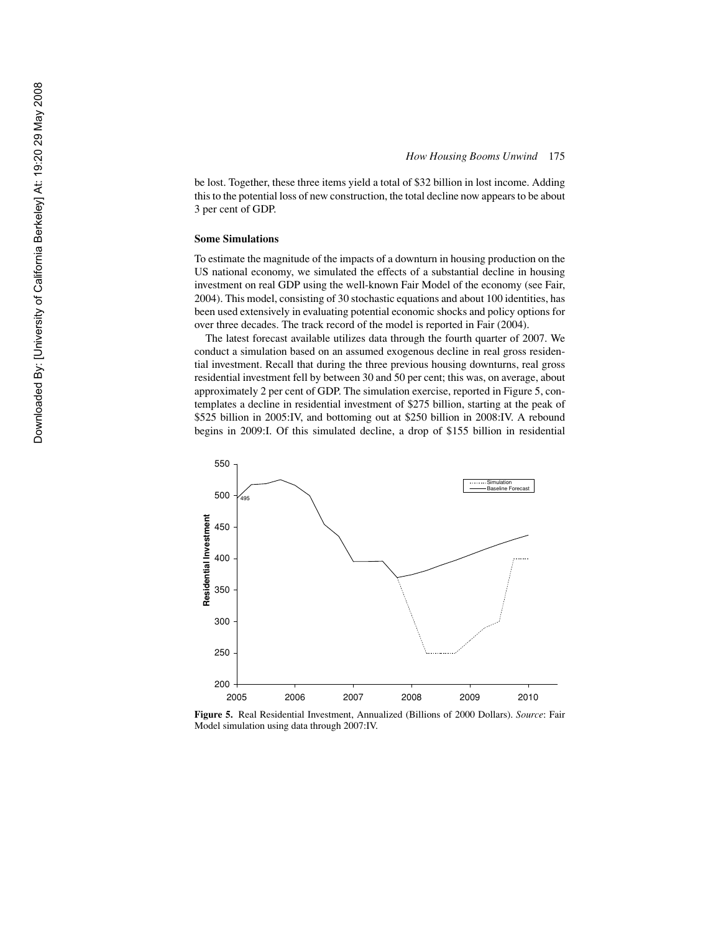be lost. Together, these three items yield a total of \$32 billion in lost income. Adding this to the potential loss of new construction, the total decline now appears to be about 3 per cent of GDP.

#### **Some Simulations**

To estimate the magnitude of the impacts of a downturn in housing production on the US national economy, we simulated the effects of a substantial decline in housing investment on real GDP using the well-known Fair Model of the economy (see Fair, 2004). This model, consisting of 30 stochastic equations and about 100 identities, has been used extensively in evaluating potential economic shocks and policy options for over three decades. The track record of the model is reported in Fair (2004).

The latest forecast available utilizes data through the fourth quarter of 2007. We conduct a simulation based on an assumed exogenous decline in real gross residential investment. Recall that during the three previous housing downturns, real gross residential investment fell by between 30 and 50 per cent; this was, on average, about approximately 2 per cent of GDP. The simulation exercise, reported in Figure 5, contemplates a decline in residential investment of \$275 billion, starting at the peak of \$525 billion in 2005:IV, and bottoming out at \$250 billion in 2008:IV. A rebound begins in 2009:I. Of this simulated decline, a drop of \$155 billion in residential



**Figure 5.** Real Residential Investment, Annualized (Billions of 2000 Dollars). *Source*: Fair Model simulation using data through 2007:IV.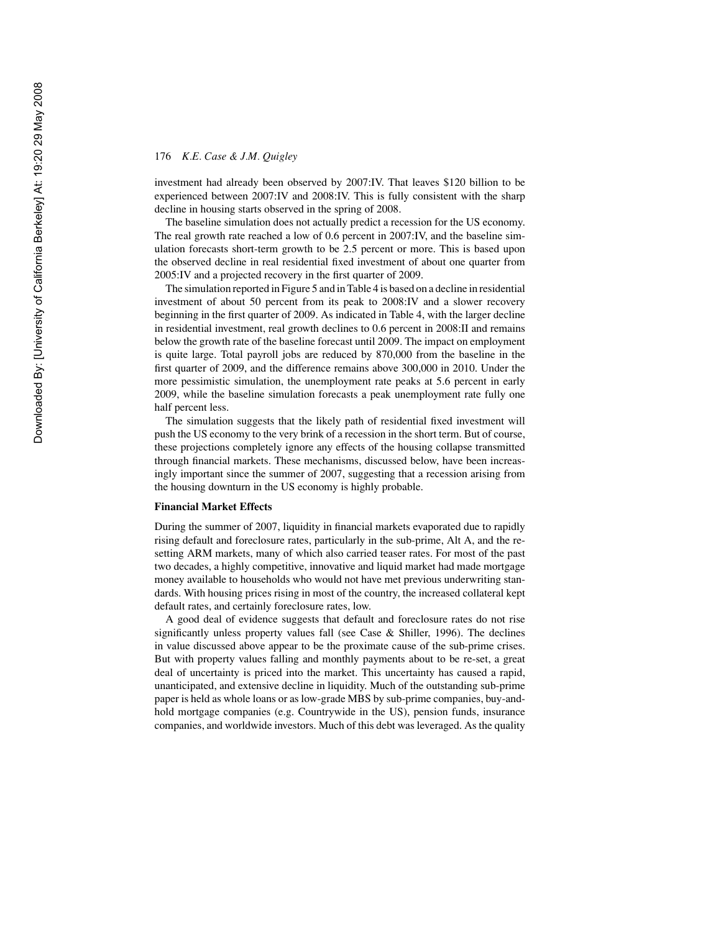investment had already been observed by 2007:IV. That leaves \$120 billion to be experienced between 2007:IV and 2008:IV. This is fully consistent with the sharp decline in housing starts observed in the spring of 2008.

The baseline simulation does not actually predict a recession for the US economy. The real growth rate reached a low of 0.6 percent in 2007:IV, and the baseline simulation forecasts short-term growth to be 2.5 percent or more. This is based upon the observed decline in real residential fixed investment of about one quarter from 2005:IV and a projected recovery in the first quarter of 2009.

The simulation reported in Figure 5 and in Table 4 is based on a decline in residential investment of about 50 percent from its peak to 2008:IV and a slower recovery beginning in the first quarter of 2009. As indicated in Table 4, with the larger decline in residential investment, real growth declines to 0.6 percent in 2008:II and remains below the growth rate of the baseline forecast until 2009. The impact on employment is quite large. Total payroll jobs are reduced by 870,000 from the baseline in the first quarter of 2009, and the difference remains above 300,000 in 2010. Under the more pessimistic simulation, the unemployment rate peaks at 5.6 percent in early 2009, while the baseline simulation forecasts a peak unemployment rate fully one half percent less.

The simulation suggests that the likely path of residential fixed investment will push the US economy to the very brink of a recession in the short term. But of course, these projections completely ignore any effects of the housing collapse transmitted through financial markets. These mechanisms, discussed below, have been increasingly important since the summer of 2007, suggesting that a recession arising from the housing downturn in the US economy is highly probable.

## **Financial Market Effects**

During the summer of 2007, liquidity in financial markets evaporated due to rapidly rising default and foreclosure rates, particularly in the sub-prime, Alt A, and the resetting ARM markets, many of which also carried teaser rates. For most of the past two decades, a highly competitive, innovative and liquid market had made mortgage money available to households who would not have met previous underwriting standards. With housing prices rising in most of the country, the increased collateral kept default rates, and certainly foreclosure rates, low.

A good deal of evidence suggests that default and foreclosure rates do not rise significantly unless property values fall (see Case & Shiller, 1996). The declines in value discussed above appear to be the proximate cause of the sub-prime crises. But with property values falling and monthly payments about to be re-set, a great deal of uncertainty is priced into the market. This uncertainty has caused a rapid, unanticipated, and extensive decline in liquidity. Much of the outstanding sub-prime paper is held as whole loans or as low-grade MBS by sub-prime companies, buy-andhold mortgage companies (e.g. Countrywide in the US), pension funds, insurance companies, and worldwide investors. Much of this debt was leveraged. As the quality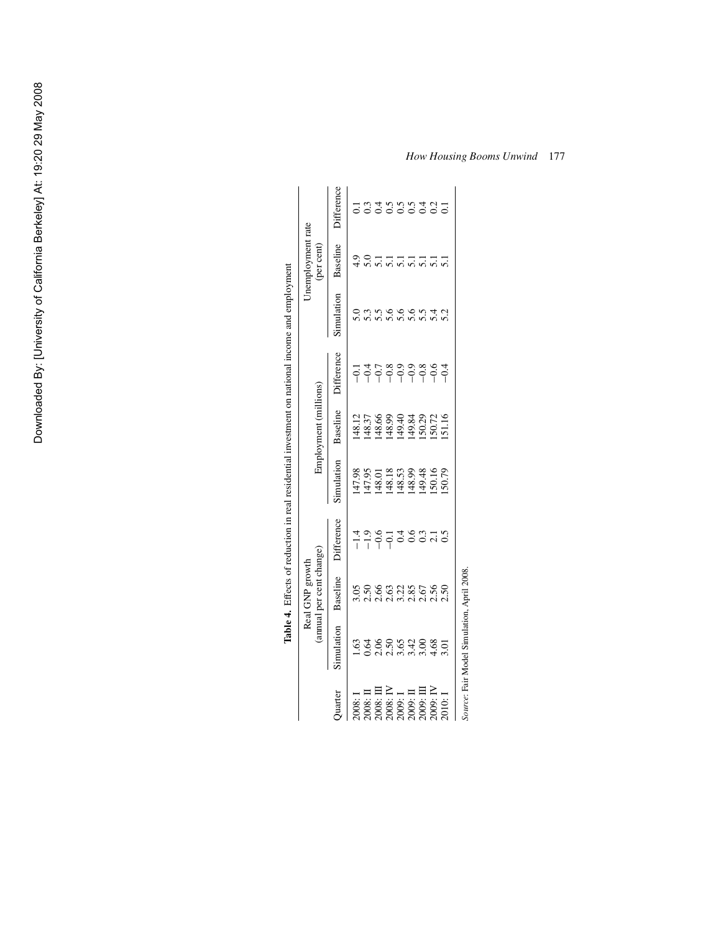|                                                                                                                                                                                                                                                                |                                            | Real GNP growth                                                 |                                                            |                                                  |                                                                                                                                                                                                                                                                                                     |                   | lable 4. Effects of reduction in real residential investment on national income and employment | Inemployment rate |                             |
|----------------------------------------------------------------------------------------------------------------------------------------------------------------------------------------------------------------------------------------------------------------|--------------------------------------------|-----------------------------------------------------------------|------------------------------------------------------------|--------------------------------------------------|-----------------------------------------------------------------------------------------------------------------------------------------------------------------------------------------------------------------------------------------------------------------------------------------------------|-------------------|------------------------------------------------------------------------------------------------|-------------------|-----------------------------|
|                                                                                                                                                                                                                                                                |                                            | (annual per cent change)                                        |                                                            |                                                  | Employment (millions)                                                                                                                                                                                                                                                                               |                   |                                                                                                | (per cent)        |                             |
| Quarter                                                                                                                                                                                                                                                        | Simulation                                 | Baseline                                                        | Difference                                                 | Simulation                                       | Baseline                                                                                                                                                                                                                                                                                            | <b>Difference</b> | Simulation                                                                                     | Baseline          | Difference                  |
|                                                                                                                                                                                                                                                                |                                            |                                                                 |                                                            |                                                  |                                                                                                                                                                                                                                                                                                     |                   |                                                                                                | $\frac{4}{3}$     |                             |
|                                                                                                                                                                                                                                                                |                                            |                                                                 | $\begin{array}{c}\n 4.96 \\ - 1.96 \\ - 1.1\n \end{array}$ | 47.98<br>147.95<br>148.18.53<br>148.53<br>150.16 |                                                                                                                                                                                                                                                                                                     |                   |                                                                                                |                   |                             |
|                                                                                                                                                                                                                                                                |                                            |                                                                 |                                                            |                                                  |                                                                                                                                                                                                                                                                                                     |                   |                                                                                                |                   |                             |
|                                                                                                                                                                                                                                                                |                                            |                                                                 |                                                            |                                                  |                                                                                                                                                                                                                                                                                                     |                   |                                                                                                | $\overline{51}$   |                             |
|                                                                                                                                                                                                                                                                |                                            |                                                                 | 0.4                                                        |                                                  |                                                                                                                                                                                                                                                                                                     |                   |                                                                                                | $\overline{5}$ .  |                             |
|                                                                                                                                                                                                                                                                |                                            |                                                                 | 0.6                                                        |                                                  |                                                                                                                                                                                                                                                                                                     |                   |                                                                                                | $\overline{51}$   |                             |
|                                                                                                                                                                                                                                                                |                                            |                                                                 | 0.3                                                        |                                                  |                                                                                                                                                                                                                                                                                                     |                   |                                                                                                | $\overline{5.1}$  |                             |
| $\begin{array}{l} 1.008:1\\ 2.008:11\\ 2.008:1\\ 2.008:1\\ 2.008:1\\ 2.009:1\\ 2.009:1\\ 2.009:1\\ 2.009:1\\ 2.009:1\\ 2.009:1\\ 2.000:1\\ 2.000:1\\ 2.000:1\\ 2.000:1\\ 2.000:1\\ 2.000:1\\ 2.000:1\\ 2.000:1\\ 2.000:1\\ 2.000:1\\ 2.000:1\\ 2.000:1\\ 2.00$ |                                            | 9 និង ទី ទី ដូន ទី ទី ទី ទី<br>ទី ទី ទី ទី ទី ទី ទី ទី ទី ទី ទី |                                                            |                                                  | $\begin{array}{l} 128.12 \\ 148.5 \\ 148.6 \\ 148.6 \\ 149.3 \\ 150.7 \\ 160.7 \\ 160.7 \\ 160.7 \\ 160.7 \\ 160.7 \\ 160.7 \\ 160.7 \\ 160.7 \\ 160.7 \\ 160.7 \\ 170.7 \\ 180.7 \\ 190.7 \\ 190.7 \\ 190.7 \\ 190.7 \\ 190.7 \\ 190.7 \\ 190.7 \\ 190.7 \\ 190.7 \\ 190.7 \\ 190.7 \\ 190.7 \\ 1$ |                   | conce condici<br>conce condici                                                                 | $\overline{51}$   | st se se del<br>Se se se se |
| 2010:1                                                                                                                                                                                                                                                         | 3.01                                       |                                                                 | $\overline{0.5}$                                           | 50.79                                            |                                                                                                                                                                                                                                                                                                     | $-0.4$            |                                                                                                | $\overline{51}$   |                             |
|                                                                                                                                                                                                                                                                | Source: Fair Model Simulation, April 2008. |                                                                 |                                                            |                                                  |                                                                                                                                                                                                                                                                                                     |                   |                                                                                                |                   |                             |

**Table 4.** Effects of reduction in real residential investment on national income and employment  $\frac{1}{2}$ J,  $\frac{1}{2}$ J. سنة 1.<br>مواليد Ŕ ÷,  $\ddot{\phantom{a}}$  $\ddot{\phantom{a}}$ -A  $\ddot{ }$  $Table 4$  Fffe

*How Housing Booms Unwind* 177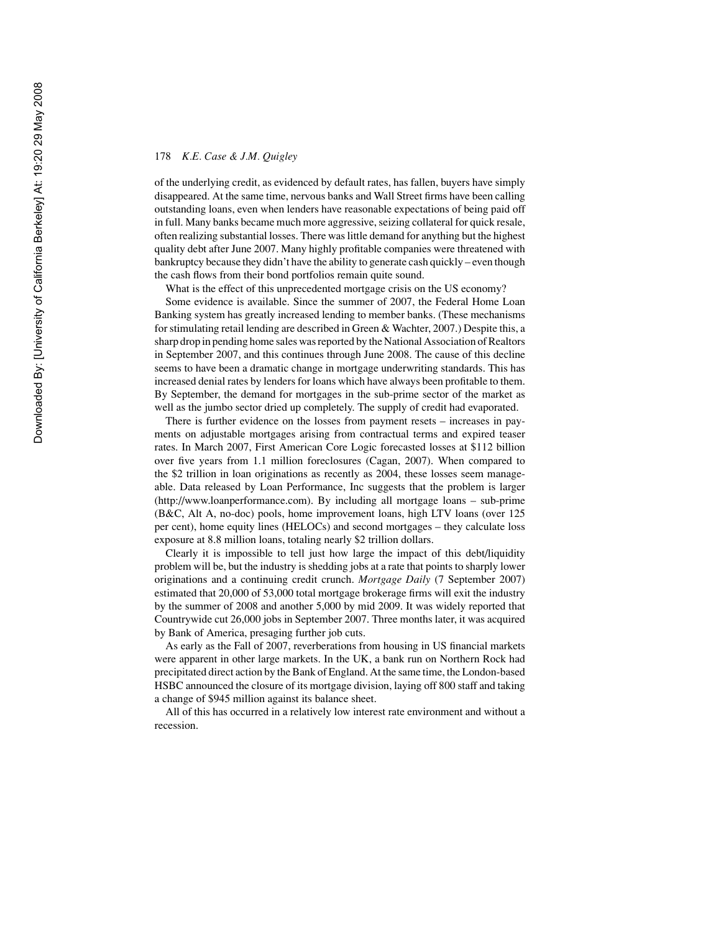of the underlying credit, as evidenced by default rates, has fallen, buyers have simply disappeared. At the same time, nervous banks and Wall Street firms have been calling outstanding loans, even when lenders have reasonable expectations of being paid off in full. Many banks became much more aggressive, seizing collateral for quick resale, often realizing substantial losses. There was little demand for anything but the highest quality debt after June 2007. Many highly profitable companies were threatened with bankruptcy because they didn't have the ability to generate cash quickly – even though the cash flows from their bond portfolios remain quite sound.

What is the effect of this unprecedented mortgage crisis on the US economy?

Some evidence is available. Since the summer of 2007, the Federal Home Loan Banking system has greatly increased lending to member banks. (These mechanisms for stimulating retail lending are described in Green & Wachter, 2007.) Despite this, a sharp drop in pending home sales was reported by the National Association of Realtors in September 2007, and this continues through June 2008. The cause of this decline seems to have been a dramatic change in mortgage underwriting standards. This has increased denial rates by lenders for loans which have always been profitable to them. By September, the demand for mortgages in the sub-prime sector of the market as well as the jumbo sector dried up completely. The supply of credit had evaporated.

There is further evidence on the losses from payment resets – increases in payments on adjustable mortgages arising from contractual terms and expired teaser rates. In March 2007, First American Core Logic forecasted losses at \$112 billion over five years from 1.1 million foreclosures (Cagan, 2007). When compared to the \$2 trillion in loan originations as recently as 2004, these losses seem manageable. Data released by Loan Performance, Inc suggests that the problem is larger (http://www.loanperformance.com). By including all mortgage loans – sub-prime (B&C, Alt A, no-doc) pools, home improvement loans, high LTV loans (over 125 per cent), home equity lines (HELOCs) and second mortgages – they calculate loss exposure at 8.8 million loans, totaling nearly \$2 trillion dollars.

Clearly it is impossible to tell just how large the impact of this debt/liquidity problem will be, but the industry is shedding jobs at a rate that points to sharply lower originations and a continuing credit crunch. *Mortgage Daily* (7 September 2007) estimated that 20,000 of 53,000 total mortgage brokerage firms will exit the industry by the summer of 2008 and another 5,000 by mid 2009. It was widely reported that Countrywide cut 26,000 jobs in September 2007. Three months later, it was acquired by Bank of America, presaging further job cuts.

As early as the Fall of 2007, reverberations from housing in US financial markets were apparent in other large markets. In the UK, a bank run on Northern Rock had precipitated direct action by the Bank of England. At the same time, the London-based HSBC announced the closure of its mortgage division, laying off 800 staff and taking a change of \$945 million against its balance sheet.

All of this has occurred in a relatively low interest rate environment and without a recession.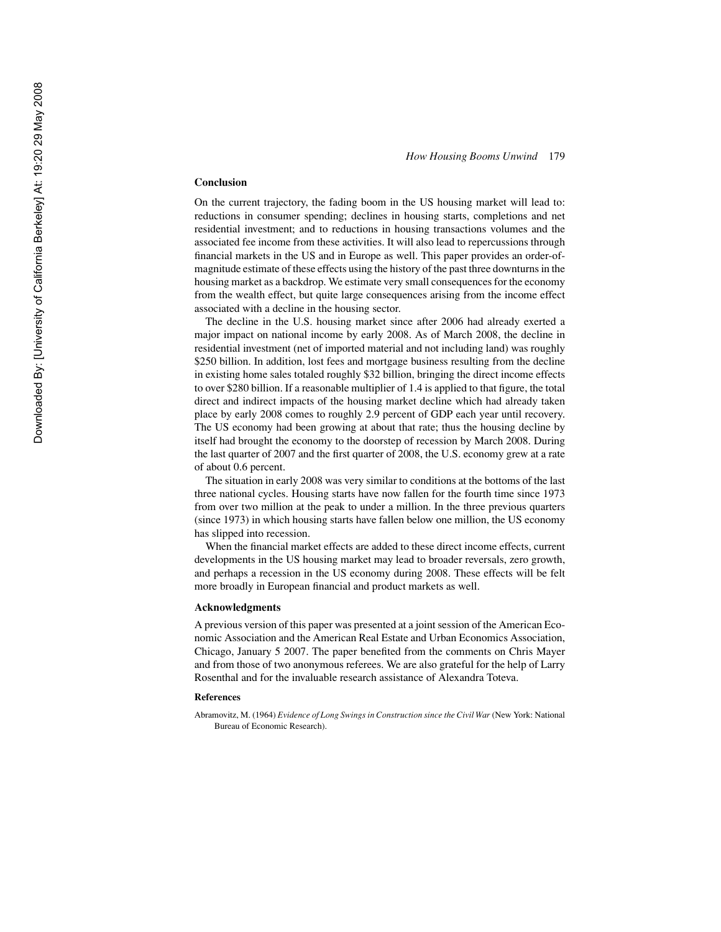### **Conclusion**

On the current trajectory, the fading boom in the US housing market will lead to: reductions in consumer spending; declines in housing starts, completions and net residential investment; and to reductions in housing transactions volumes and the associated fee income from these activities. It will also lead to repercussions through financial markets in the US and in Europe as well. This paper provides an order-ofmagnitude estimate of these effects using the history of the past three downturns in the housing market as a backdrop. We estimate very small consequences for the economy from the wealth effect, but quite large consequences arising from the income effect associated with a decline in the housing sector.

The decline in the U.S. housing market since after 2006 had already exerted a major impact on national income by early 2008. As of March 2008, the decline in residential investment (net of imported material and not including land) was roughly \$250 billion. In addition, lost fees and mortgage business resulting from the decline in existing home sales totaled roughly \$32 billion, bringing the direct income effects to over \$280 billion. If a reasonable multiplier of 1.4 is applied to that figure, the total direct and indirect impacts of the housing market decline which had already taken place by early 2008 comes to roughly 2.9 percent of GDP each year until recovery. The US economy had been growing at about that rate; thus the housing decline by itself had brought the economy to the doorstep of recession by March 2008. During the last quarter of 2007 and the first quarter of 2008, the U.S. economy grew at a rate of about 0.6 percent.

The situation in early 2008 was very similar to conditions at the bottoms of the last three national cycles. Housing starts have now fallen for the fourth time since 1973 from over two million at the peak to under a million. In the three previous quarters (since 1973) in which housing starts have fallen below one million, the US economy has slipped into recession.

When the financial market effects are added to these direct income effects, current developments in the US housing market may lead to broader reversals, zero growth, and perhaps a recession in the US economy during 2008. These effects will be felt more broadly in European financial and product markets as well.

#### **Acknowledgments**

A previous version of this paper was presented at a joint session of the American Economic Association and the American Real Estate and Urban Economics Association, Chicago, January 5 2007. The paper benefited from the comments on Chris Mayer and from those of two anonymous referees. We are also grateful for the help of Larry Rosenthal and for the invaluable research assistance of Alexandra Toteva.

#### **References**

Abramovitz, M. (1964) *Evidence of Long Swings in Construction since the Civil War* (New York: National Bureau of Economic Research).